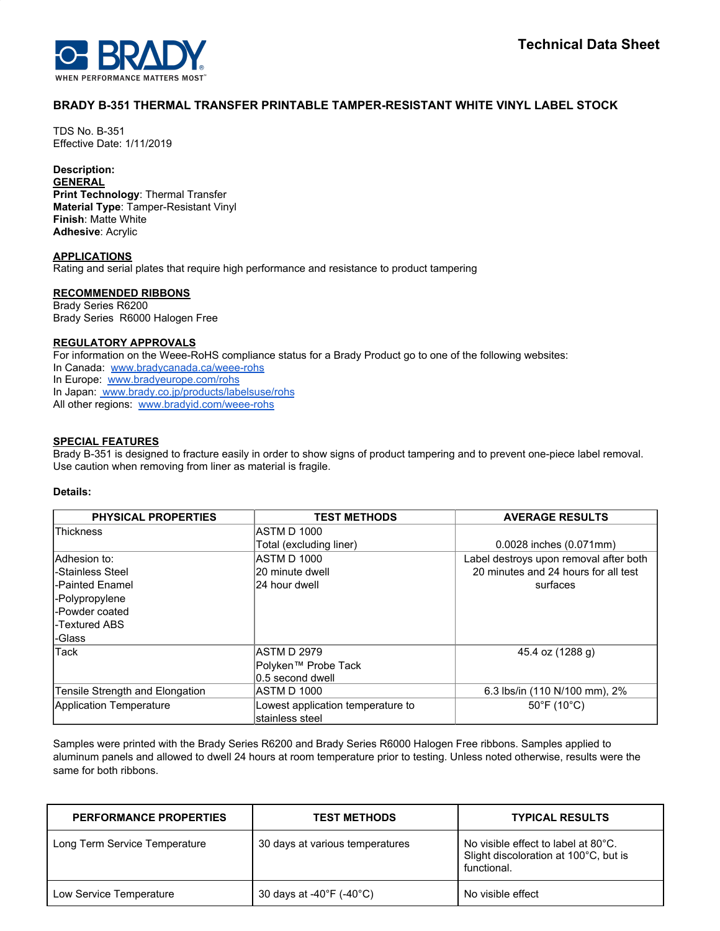## **BRADY B-351 THERMAL TRANSFER PRINTABLE TAMPER-RESISTANT WHITE VINYL LABEL STOCK**

TDS No. B-351 Effective Date: 1/11/2019

# **Description:**

**GENERAL Print Technology**: Thermal Transfer **Material Type**: Tamper-Resistant Vinyl **Finish**: Matte White **Adhesive**: Acrylic

#### **APPLICATIONS**

Rating and serial plates that require high performance and resistance to product tampering

### **RECOMMENDED RIBBONS**

Brady Series R6200 Brady Series R6000 Halogen Free

#### **REGULATORY APPROVALS**

For information on the Weee-RoHS compliance status for a Brady Product go to one of the following websites: In Canada: [www.bradycanada.ca/weee-rohs](http://www.bradycanada.ca/weee-rohs) In Europe: [www.bradyeurope.com/rohs](http://www.bradyeurope.com/rohs) In Japan: www.[brady.co.jp/products/labelsuse/rohs](https://brady.co.jp/products/labelsuse/rohs) All other regions: [www.bradyid.com/weee-rohs](http://www.bradyid.com/weee-rohs)

#### **SPECIAL FEATURES**

Brady B-351 is designed to fracture easily in order to show signs of product tampering and to prevent one-piece label removal. Use caution when removing from liner as material is fragile.

## **Details:**

| <b>PHYSICAL PROPERTIES</b>      | <b>TEST METHODS</b>               | <b>AVERAGE RESULTS</b>                 |
|---------------------------------|-----------------------------------|----------------------------------------|
| Thickness                       | ASTM D 1000                       |                                        |
|                                 | Total (excluding liner)           | 0.0028 inches (0.071mm)                |
| lAdhesion to:                   | ASTM D 1000                       | Label destroys upon removal after both |
| -Stainless Steel                | 20 minute dwell                   | 20 minutes and 24 hours for all test   |
| -Painted Enamel                 | 24 hour dwell                     | surfaces                               |
| -Polypropylene                  |                                   |                                        |
| -Powder coated                  |                                   |                                        |
| -Textured ABS                   |                                   |                                        |
| -Glass                          |                                   |                                        |
| Tack                            | ASTM D 2979                       | 45.4 oz (1288 g)                       |
|                                 | Polyken™ Probe Tack               |                                        |
|                                 | 0.5 second dwell                  |                                        |
| Tensile Strength and Elongation | IASTM D 1000                      | 6.3 lbs/in (110 N/100 mm), 2%          |
| Application Temperature         | Lowest application temperature to | $50^{\circ}$ F (10 $^{\circ}$ C)       |
|                                 | stainless steel                   |                                        |

Samples were printed with the Brady Series R6200 and Brady Series R6000 Halogen Free ribbons. Samples applied to aluminum panels and allowed to dwell 24 hours at room temperature prior to testing. Unless noted otherwise, results were the same for both ribbons.

| <b>PERFORMANCE PROPERTIES</b> | <b>TEST METHODS</b>                          | <b>TYPICAL RESULTS</b>                                                                      |
|-------------------------------|----------------------------------------------|---------------------------------------------------------------------------------------------|
| Long Term Service Temperature | 30 days at various temperatures              | No visible effect to label at 80°C.<br>Slight discoloration at 100°C, but is<br>functional. |
| Low Service Temperature       | 30 days at -40 $\degree$ F (-40 $\degree$ C) | No visible effect                                                                           |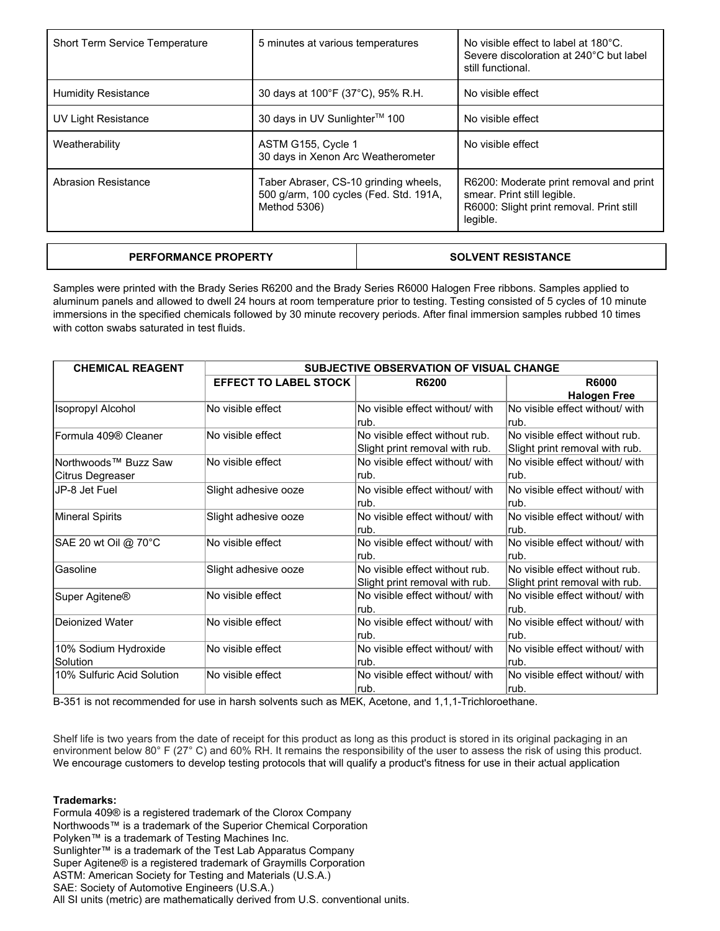| Short Term Service Temperature | 5 minutes at various temperatures                                                               | No visible effect to label at 180°C.<br>Severe discoloration at 240°C but label<br>still functional.                           |
|--------------------------------|-------------------------------------------------------------------------------------------------|--------------------------------------------------------------------------------------------------------------------------------|
| <b>Humidity Resistance</b>     | 30 days at 100°F (37°C), 95% R.H.                                                               | No visible effect                                                                                                              |
| UV Light Resistance            | 30 days in UV Sunlighter™ 100                                                                   | No visible effect                                                                                                              |
| Weatherability                 | ASTM G155, Cycle 1<br>30 days in Xenon Arc Weatherometer                                        | No visible effect                                                                                                              |
| Abrasion Resistance            | Taber Abraser, CS-10 grinding wheels,<br>500 g/arm, 100 cycles (Fed. Std. 191A,<br>Method 5306) | R6200: Moderate print removal and print<br>smear. Print still legible.<br>R6000: Slight print removal. Print still<br>legible. |

| <b>PERFORMANCE PROPERTY</b> | <b>SOLVENT RESISTANCE</b> |
|-----------------------------|---------------------------|
|-----------------------------|---------------------------|

Samples were printed with the Brady Series R6200 and the Brady Series R6000 Halogen Free ribbons. Samples applied to aluminum panels and allowed to dwell 24 hours at room temperature prior to testing. Testing consisted of 5 cycles of 10 minute immersions in the specified chemicals followed by 30 minute recovery periods. After final immersion samples rubbed 10 times with cotton swabs saturated in test fluids.

| <b>CHEMICAL REAGENT</b>    | <b>SUBJECTIVE OBSERVATION OF VISUAL CHANGE</b> |                                 |                                 |
|----------------------------|------------------------------------------------|---------------------------------|---------------------------------|
|                            | <b>EFFECT TO LABEL STOCK</b>                   | <b>R6200</b>                    | <b>R6000</b>                    |
|                            |                                                |                                 | <b>Halogen Free</b>             |
| Isopropyl Alcohol          | No visible effect                              | No visible effect without/ with | No visible effect without/ with |
|                            |                                                | rub.                            | lrub.                           |
| lFormula 409® Cleaner      | No visible effect                              | No visible effect without rub.  | No visible effect without rub.  |
|                            |                                                | Slight print removal with rub.  | Slight print removal with rub.  |
| Northwoods™ Buzz Saw       | No visible effect                              | No visible effect without/ with | No visible effect without/ with |
| Citrus Degreaser           |                                                | rub.                            | lrub.                           |
| JP-8 Jet Fuel              | Slight adhesive ooze                           | No visible effect without/ with | No visible effect without/ with |
|                            |                                                | rub.                            | lrub.                           |
| Mineral Spirits            | Slight adhesive ooze                           | No visible effect without/ with | No visible effect without/ with |
|                            |                                                | rub.                            | lrub.                           |
| SAE 20 wt Oil @ 70°C       | No visible effect                              | No visible effect without/ with | No visible effect without/ with |
|                            |                                                | rub.                            | lrub.                           |
| lGasoline                  | Slight adhesive ooze                           | No visible effect without rub.  | No visible effect without rub.  |
|                            |                                                | Slight print removal with rub.  | Slight print removal with rub.  |
| Super Agitene®             | No visible effect                              | No visible effect without/ with | No visible effect without/ with |
|                            |                                                | rub.                            | lrub.                           |
| lDeionized Water           | No visible effect                              | No visible effect without/ with | No visible effect without/ with |
|                            |                                                | rub.                            | lrub.                           |
| 10% Sodium Hydroxide       | No visible effect                              | No visible effect without/ with | No visible effect without/ with |
| Solution                   |                                                | rub.                            | lrub.                           |
| 10% Sulfuric Acid Solution | No visible effect                              | No visible effect without/ with | No visible effect without/ with |
|                            |                                                | rub.                            | lrub.                           |

B-351 is not recommended for use in harsh solvents such as MEK, Acetone, and 1,1,1-Trichloroethane.

Shelf life is two years from the date of receipt for this product as long as this product is stored in its original packaging in an environment below 80° F (27° C) and 60% RH. It remains the responsibility of the user to assess the risk of using this product. We encourage customers to develop testing protocols that will qualify a product's fitness for use in their actual application

#### **Trademarks:**

Formula 409® is a registered trademark of the Clorox Company Northwoods™ is a trademark of the Superior Chemical Corporation Polyken™ is a trademark of Testing Machines Inc. Sunlighter™ is a trademark of the Test Lab Apparatus Company Super Agitene® is a registered trademark of Graymills Corporation ASTM: American Society for Testing and Materials (U.S.A.) SAE: Society of Automotive Engineers (U.S.A.) All SI units (metric) are mathematically derived from U.S. conventional units.